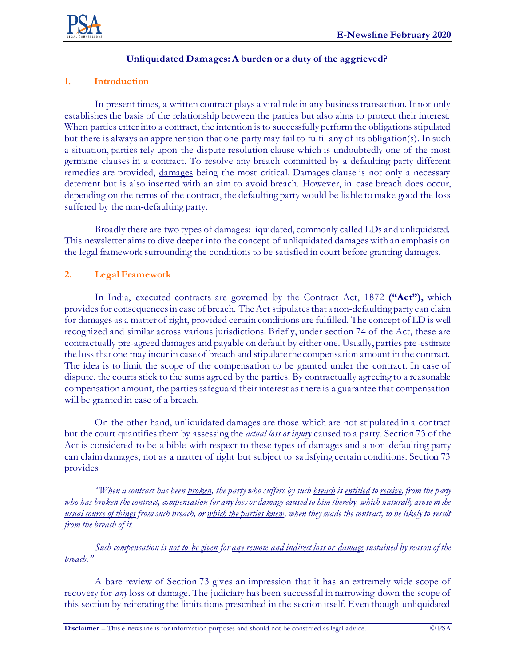

### **Unliquidated Damages: A burden or a duty of the aggrieved?**

### **1. Introduction**

In present times, a written contract plays a vital role in any business transaction. It not only establishes the basis of the relationship between the parties but also aims to protect their interest. When parties enter into a contract, the intention is to successfully perform the obligations stipulated but there is always an apprehension that one party may fail to fulfil any of its obligation(s). In such a situation, parties rely upon the dispute resolution clause which is undoubtedly one of the most germane clauses in a contract. To resolve any breach committed by a defaulting party different remedies are provided, damages being the most critical. Damages clause is not only a necessary deterrent but is also inserted with an aim to avoid breach. However, in case breach does occur, depending on the terms of the contract, the defaulting party would be liable to make good the loss suffered by the non-defaulting party.

Broadly there are two types of damages: liquidated, commonly called LDs and unliquidated. This newsletter aims to dive deeper into the concept of unliquidated damages with an emphasis on the legal framework surrounding the conditions to be satisfied in court before granting damages.

### **2. Legal Framework**

In India, executed contracts are governed by the Contract Act, 1872 **("Act"),** which provides for consequences in case of breach. The Act stipulates that a non-defaulting party can claim for damages as a matter of right, provided certain conditions are fulfilled. The concept of LD is well recognized and similar across various jurisdictions. Briefly, under section 74 of the Act, these are contractually pre-agreed damages and payable on default by either one. Usually, parties pre-estimate the loss that one may incur in case of breach and stipulate the compensation amount in the contract. The idea is to limit the scope of the compensation to be granted under the contract. In case of dispute, the courts stick to the sums agreed by the parties. By contractually agreeing to a reasonable compensation amount, the parties safeguard their interest as there is a guarantee that compensation will be granted in case of a breach.

On the other hand, unliquidated damages are those which are not stipulated in a contract but the court quantifies them by assessing the *actual loss or injury* caused to a party. Section 73 of the Act is considered to be a bible with respect to these types of damages and a non-defaulting party can claim damages, not as a matter of right but subject to satisfying certain conditions. Section 73 provides

*"When a contract has been broken, the party who suffers by such breach is entitled to receive, from the party who has broken the contract, compensation for any loss or damage caused to him thereby, which naturally arose in the usual course of things from such breach, or which the parties knew, when they made the contract, to be likely to result from the breach of it.*

*Such compensation is not to be given for any remote and indirect loss or damage sustained by reason of the breach."*

A bare review of Section 73 gives an impression that it has an extremely wide scope of recovery for *any* loss or damage. The judiciary has been successful in narrowing down the scope of this section by reiterating the limitations prescribed in the section itself. Even though unliquidated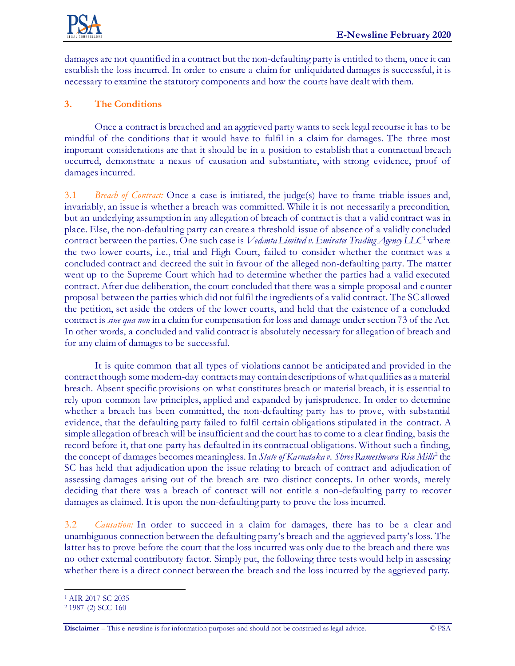

damages are not quantified in a contract but the non-defaulting party is entitled to them, once it can establish the loss incurred. In order to ensure a claim for unliquidated damages is successful, it is necessary to examine the statutory components and how the courts have dealt with them.

# **3. The Conditions**

Once a contract is breached and an aggrieved party wants to seek legal recourse it has to be mindful of the conditions that it would have to fulfil in a claim for damages. The three most important considerations are that it should be in a position to establish that a contractual breach occurred, demonstrate a nexus of causation and substantiate, with strong evidence, proof of damages incurred.

3.1 *Breach of Contract:* Once a case is initiated, the judge(s) have to frame triable issues and, invariably, an issue is whether a breach was committed. While it is not necessarily a precondition, but an underlying assumption in any allegation of breach of contract is that a valid contract was in place. Else, the non-defaulting party can create a threshold issue of absence of a validly concluded contract between the parties. One such case is *Vedanta Limited v. Emirates Trading Agency LLC*<sup>1</sup> where the two lower courts, i.e., trial and High Court, failed to consider whether the contract was a concluded contract and decreed the suit in favour of the alleged non-defaulting party. The matter went up to the Supreme Court which had to determine whether the parties had a valid executed contract. After due deliberation, the court concluded that there was a simple proposal and counter proposal between the parties which did not fulfil the ingredients of a valid contract. The SC allowed the petition, set aside the orders of the lower courts, and held that the existence of a concluded contract is *sine qua non* in a claim for compensation for loss and damage under section 73 of the Act. In other words, a concluded and valid contract is absolutely necessary for allegation of breach and for any claim of damages to be successful.

It is quite common that all types of violations cannot be anticipated and provided in the contract though some modern-day contracts may contain descriptions of what qualifies as a material breach. Absent specific provisions on what constitutes breach or material breach, it is essential to rely upon common law principles, applied and expanded by jurisprudence. In order to determine whether a breach has been committed, the non-defaulting party has to prove, with substantial evidence, that the defaulting party failed to fulfil certain obligations stipulated in the contract. A simple allegation of breach will be insufficient and the court has to come to a clear finding, basis the record before it, that one party has defaulted in its contractual obligations. Without such a finding, the concept of damages becomes meaningless. In *State of Karnataka v. Shree Rameshwara Rice Mills*<sup>2</sup> the SC has held that adjudication upon the issue relating to breach of contract and adjudication of assessing damages arising out of the breach are two distinct concepts. In other words, merely deciding that there was a breach of contract will not entitle a non-defaulting party to recover damages as claimed. It is upon the non-defaulting party to prove the loss incurred.

3.2 *Causation:* In order to succeed in a claim for damages, there has to be a clear and unambiguous connection between the defaulting party's breach and the aggrieved party's loss. The latter has to prove before the court that the loss incurred was only due to the breach and there was no other external contributory factor. Simply put, the following three tests would help in assessing whether there is a direct connect between the breach and the loss incurred by the aggrieved party.

<sup>1</sup> AIR 2017 SC 2035

<sup>2</sup> 1987 (2) SCC 160

**Disclaimer** – This e-newsline is for information purposes and should not be construed as legal advice. © PSA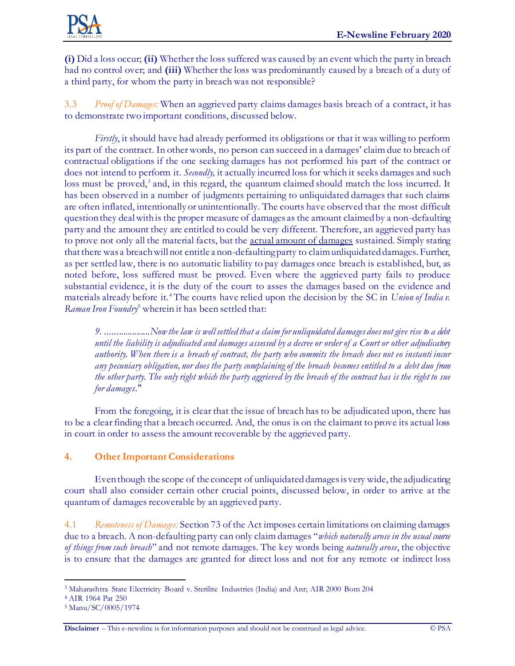

**(i)** Did a loss occur; **(ii)** Whether the loss suffered was caused by an event which the party in breach had no control over; and **(iii)** Whether the loss was predominantly caused by a breach of a duty of a third party, for whom the party in breach was not responsible?

3.3 *Proof of Damages:* When an aggrieved party claims damages basis breach of a contract, it has to demonstrate two important conditions, discussed below.

*Firstly*, it should have had already performed its obligations or that it was willing to perform its part of the contract. In other words, no person can succeed in a damages' claim due to breach of contractual obligations if the one seeking damages has not performed his part of the contract or does not intend to perform it. *Secondly,* it actually incurred loss for which it seeks damages and such loss must be proved,<sup>3</sup> and, in this regard, the quantum claimed should match the loss incurred. It has been observed in a number of judgments pertaining to unliquidated damages that such claims are often inflated, intentionally or unintentionally. The courts have observed that the most difficult question they deal with is the proper measure of damages as the amount claimed by a non-defaulting party and the amount they are entitled to could be very different. Therefore, an aggrieved party has to prove not only all the material facts, but the actual amount of damages sustained. Simply stating that there was a breach will not entitle a non-defaulting party to claim unliquidated damages. Further, as per settled law, there is no automatic liability to pay damages once breach is established, but, as noted before, loss suffered must be proved. Even where the aggrieved party fails to produce substantial evidence, it is the duty of the court to asses the damages based on the evidence and materials already before it.<sup>4</sup> The courts have relied upon the decision by the SC in *Union of India v*. *Raman Iron Foundry*<sup>5</sup> wherein it has been settled that:

*9. ....................Now the law is well settled that a claim for unliquidated damages does not give rise to a debt until the liability is adjudicated and damages assessed by a decree or order of a Court or other adjudicatory authority. When there is a breach of contract, the party who commits the breach does not eo instanti incur any pecuniary obligation, nor does the party complaining of the broach becomes entitled to a debt duo from the other party. The only right which the party aggrieved by the breach of the contract has is the right to sue for damages*."

From the foregoing, it is clear that the issue of breach has to be adjudicated upon, there has to be a clear finding that a breach occurred. And, the onus is on the claimant to prove its actual loss in court in order to assess the amount recoverable by the aggrieved party.

# **4. Other Important Considerations**

Even though the scope of the concept of unliquidated damages is very wide, the adjudicating court shall also consider certain other crucial points, discussed below, in order to arrive at the quantum of damages recoverable by an aggrieved party.

4.1 *Remoteness of Damages:* Section 73 of the Act imposes certain limitations on claiming damages due to a breach. A non-defaulting party can only claim damages "*which naturally arose in the usual course of things from such breach*" and not remote damages. The key words being *naturally arose*, the objective is to ensure that the damages are granted for direct loss and not for any remote or indirect loss

<sup>3</sup> Maharashtra State Electricity Board v. Sterilite Industries (India) and Anr; AIR 2000 Bom 204

<sup>4</sup> AIR 1964 Pat 250

<sup>5</sup> Manu/SC/0005/1974

**Disclaimer** – This e-newsline is for information purposes and should not be construed as legal advice. © PSA